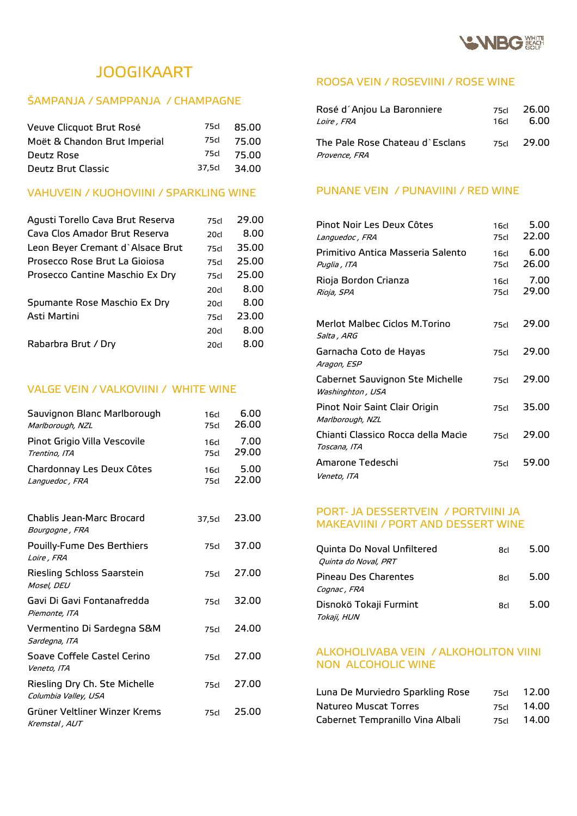

# JOOGIKAART

## ŠAMPANJA / SAMPPANJA / CHAMPAGNE

| Veuve Clicquot Brut Rosé     | 75cl   | 85.00 |
|------------------------------|--------|-------|
| Moët & Chandon Brut Imperial | 75cl   | 75.00 |
| Deutz Rose                   | 75cl   | 75.00 |
| Deutz Brut Classic           | 37.5cl | 34.00 |

## VAHUVEIN / KUOHOVIINI / SPARKLING WINE

| Agusti Torello Cava Brut Reserva | 75cl             | 29.00 |
|----------------------------------|------------------|-------|
| Cava Clos Amador Brut Reserva    | 20 <sub>cl</sub> | 8.00  |
| Leon Bever Cremant d`Alsace Brut | 75cl             | 35.00 |
| Prosecco Rose Brut La Giojosa    | 75cl             | 25.00 |
| Prosecco Cantine Maschio Ex Dry  | 75cl             | 25.00 |
|                                  | 20 <sub>cl</sub> | 8.00  |
| Spumante Rose Maschio Ex Dry     | 20 <sub>cl</sub> | 8.00  |
| Asti Martini                     | 75cl             | 23.00 |
|                                  | 20 <sub>cl</sub> | 8.00  |
| Rabarbra Brut / Dry              | 20 <sub>cl</sub> | 8.00  |
|                                  |                  |       |

## VALGE VEIN / VALKOVIINI / WHITE WINE

| Sauvignon Blanc Marlborough<br>Marlborough, NZL       | 16 <sub>cl</sub><br>75cl | 6.00<br>26.00 |
|-------------------------------------------------------|--------------------------|---------------|
| Pinot Grigio Villa Vescovile<br>Trentino, ITA         | 16 <sub>cl</sub><br>75cl | 7.00<br>29.00 |
| Chardonnay Les Deux Côtes<br>Languedoc, FRA           | 16 <sub>cl</sub><br>75cl | 5.00<br>22.00 |
| Chablis Jean-Marc Brocard<br>Bourgogne, FRA           | 37,5cl                   | 23.00         |
| <b>Pouilly-Fume Des Berthiers</b><br>Loire, FRA       | 75cl                     | 37.00         |
| Riesling Schloss Saarstein<br>Mosel, DEU              | 75cl                     | 27.00         |
| Gavi Di Gavi Fontanafredda<br>Piemonte, ITA           | 75cl                     | 32.00         |
| Vermentino Di Sardegna S&M<br>Sardegna, ITA           | 75cl                     | 24.00         |
| Soave Coffele Castel Cerino<br>Veneto, ITA            | 75 <sub>cl</sub>         | 27.00         |
| Riesling Dry Ch. Ste Michelle<br>Columbia Valley, USA | 75 <sub>cl</sub>         | 27.00         |
| Grüner Veltliner Winzer Krems<br>Kremstal, AUT        | 75cl                     | 25.00         |

## ROOSA VEIN / ROSEVIINI / ROSE WINE

| Rosé d´Anjou La Baronniere                       | 75d   | 26.00 |
|--------------------------------------------------|-------|-------|
| <i>Loire , FRA</i>                               | 16d - | 6.00  |
| The Pale Rose Chateau d`Esclans<br>Provence, FRA | 75d   | 29.00 |

#### PUNANE VEIN / PUNAVIINI / RED WINE

| Pinot Noir Les Deux Côtes<br>Languedoc, FRA         | 16 <sub>cl</sub><br>75cl | 5.00<br>22.00 |
|-----------------------------------------------------|--------------------------|---------------|
| Primitivo Antica Masseria Salento<br>Puglia , ITA   | 16cl<br>75cl             | 6.00<br>26.00 |
| Rioja Bordon Crianza<br>Rioja, SPA                  | 16cl<br>75cl             | 7.00<br>29.00 |
| Merlot Malbec Ciclos M.Torino<br>Salta , ARG        | 75cl                     | 29.00         |
| Garnacha Coto de Hayas<br>Aragon, ESP               | 75cl                     | 29.00         |
| Cabernet Sauvignon Ste Michelle<br>Washinghton, USA | 75cl                     | 29.00         |
| Pinot Noir Saint Clair Origin<br>Marlborough, NZL   | 75cl                     | 35.00         |
| Chianti Classico Rocca della Macìe<br>Toscana, ITA  | 75cl                     | 29.00         |
| Amarone Tedeschi<br>Veneto, ITA                     | 75cl                     | 59.00         |

#### PORT- JA DESSERTVEIN / PORTVIINI JA MAKEAVIINI / PORT AND DESSERT WINE

| Quinta Do Noval Unfiltered<br>Quinta do Noval, PRT | 8d | 5.00 |
|----------------------------------------------------|----|------|
| Pineau Des Charentes<br>Cognac, FRA                | 8d | 5.00 |
| Disnokö Tokaji Furmint<br>Tokaji, HUN              | 8d | 5.00 |

#### ALKOHOLIVABA VEIN / ALKOHOLITON VIINI NON ALCOHOLIC WINE

| Luna De Murviedro Sparkling Rose | 75cl | 12.00 |
|----------------------------------|------|-------|
| Natureo Muscat Torres            | 75cl | 14.00 |
| Cabernet Tempranillo Vina Albali | 75cl | 14.00 |